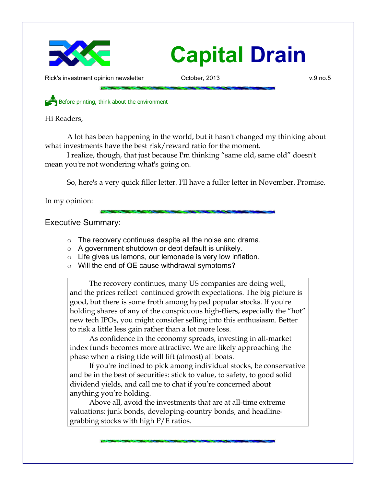

## **Capital Drain**

Rick's investment opinion newsletter October, 2013 v.9 no.5

Before printing, think about the environment

Hi Readers,

A lot has been happening in the world, but it hasn't changed my thinking about what investments have the best risk/reward ratio for the moment.

I realize, though, that just because I'm thinking "same old, same old" doesn't mean you're not wondering what's going on.

So, here's a very quick filler letter. I'll have a fuller letter in November. Promise.

In my opinion:

Executive Summary:

- The recovery continues despite all the noise and drama.
- A government shutdown or debt default is unlikely.
- Life gives us lemons, our lemonade is very low inflation.
- Will the end of QE cause withdrawal symptoms?

The recovery continues, many US companies are doing well, and the prices reflect continued growth expectations. The big picture is good, but there is some froth among hyped popular stocks. If you're holding shares of any of the conspicuous high-fliers, especially the "hot" new tech IPOs, you might consider selling into this enthusiasm. Better to risk a little less gain rather than a lot more loss.

As confidence in the economy spreads, investing in all-market index funds becomes more attractive. We are likely approaching the phase when a rising tide will lift (almost) all boats.

If you're inclined to pick among individual stocks, be conservative and be in the best of securities: stick to value, to safety, to good solid dividend yields, and call me to chat if you're concerned about anything you're holding.

Above all, avoid the investments that are at all-time extreme valuations: junk bonds, developing-country bonds, and headlinegrabbing stocks with high P/E ratios.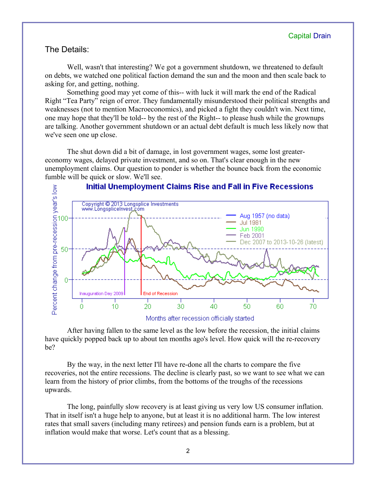## The Details:

Well, wasn't that interesting? We got a government shutdown, we threatened to default on debts, we watched one political faction demand the sun and the moon and then scale back to asking for, and getting, nothing.

Something good may yet come of this-- with luck it will mark the end of the Radical Right "Tea Party" reign of error. They fundamentally misunderstood their political strengths and weaknesses (not to mention Macroeconomics), and picked a fight they couldn't win. Next time, one may hope that they'll be told-- by the rest of the Right-- to please hush while the grownups are talking. Another government shutdown or an actual debt default is much less likely now that we've seen one up close.

The shut down did a bit of damage, in lost government wages, some lost greatereconomy wages, delayed private investment, and so on. That's clear enough in the new unemployment claims. Our question to ponder is whether the bounce back from the economic fumble will be quick or slow. We'll see.



After having fallen to the same level as the low before the recession, the initial claims have quickly popped back up to about ten months ago's level. How quick will the re-recovery be?

By the way, in the next letter I'll have re-done all the charts to compare the five recoveries, not the entire recessions. The decline is clearly past, so we want to see what we can learn from the history of prior climbs, from the bottoms of the troughs of the recessions upwards.

The long, painfully slow recovery is at least giving us very low US consumer inflation. That in itself isn't a huge help to anyone, but at least it is no additional harm. The low interest rates that small savers (including many retirees) and pension funds earn is a problem, but at inflation would make that worse. Let's count that as a blessing.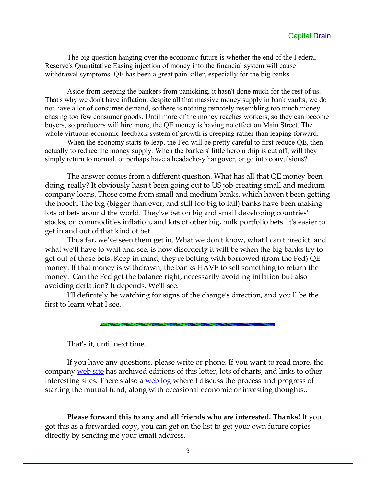The big question hanging over the economic future is whether the end of the Federal Reserve's Quantitative Easing injection of money into the financial system will cause withdrawal symptoms. QE has been a great pain killer, especially for the big banks.

Aside from keeping the bankers from panicking, it hasn't done much for the rest of us. That's why we don't have inflation: despite all that massive money supply in bank vaults, we do not have a lot of consumer demand, so there is nothing remotely resembling too much money chasing too few consumer goods. Until more of the money reaches workers, so they can become buyers, so producers will hire more, the QE money is having no effect on Main Street. The whole virtuous economic feedback system of growth is creeping rather than leaping forward.

When the economy starts to leap, the Fed will be pretty careful to first reduce QE, then actually to reduce the money supply. When the bankers' little heroin drip is cut off, will they simply return to normal, or perhaps have a headache-y hangover, or go into convulsions?

The answer comes from a different question. What has all that QE money been doing, really? It obviously hasn't been going out to US job-creating small and medium company loans. Those come from small and medium banks, which haven't been getting the hooch. The big (bigger than ever, and still too big to fail) banks have been making lots of bets around the world. They've bet on big and small developing countries' stocks, on commodities inflation, and lots of other big, bulk portfolio bets. It's easier to get in and out of that kind of bet.

Thus far, we've seen them get in. What we don't know, what I can't predict, and what we'll have to wait and see, is how disorderly it will be when the big banks try to get out of those bets. Keep in mind, they're betting with borrowed (from the Fed) QE money. If that money is withdrawn, the banks HAVE to sell something to return the money. Can the Fed get the balance right, necessarily avoiding inflation but also avoiding deflation? It depends. We'll see.

I'll definitely be watching for signs of the change's direction, and you'll be the first to learn what I see.

That's it, until next time.

If you have any questions, please write or phone. If you want to read more, the company [web site](http://www.LongspliceInvest.com/newsletter.shtml) has archived editions of this letter, lots of charts, and links to other interesting sites. There's also a [web log](http://www.LongspliceInvestments.com/ricksblog) where I discuss the process and progress of starting the mutual fund, along with occasional economic or investing thoughts..

**Please forward this to any and all friends who are interested. Thanks!** If you got this as a forwarded copy, you can get on the list to get your own future copies directly by sending me your email address.